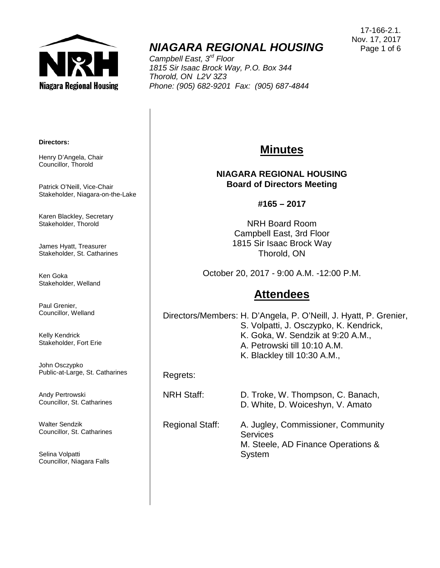

# *NIAGARA REGIONAL HOUSING*

*Campbell East, 3rd Floor 1815 Sir Isaac Brock Way, P.O. Box 344 Thorold, ON L2V 3Z3 Phone: (905) 682-9201 Fax: (905) 687-4844*

#### **Directors:**

Henry D'Angela, Chair Councillor, Thorold

Patrick O'Neill, Vice-Chair Stakeholder, Niagara-on-the-Lake

Karen Blackley, Secretary Stakeholder, Thorold

James Hyatt, Treasurer Stakeholder, St. Catharines

Ken Goka Stakeholder, Welland

Paul Grenier, Councillor, Welland

Kelly Kendrick Stakeholder, Fort Erie

John Osczypko Public-at-Large, St. Catharines

Andy Pertrowski Councillor, St. Catharines

Walter Sendzik Councillor, St. Catharines

Selina Volpatti Councillor, Niagara Falls

## **Minutes**

#### **NIAGARA REGIONAL HOUSING Board of Directors Meeting**

**#165 – 2017**

NRH Board Room Campbell East, 3rd Floor 1815 Sir Isaac Brock Way Thorold, ON

October 20, 2017 - 9:00 A.M. -12:00 P.M.

## **Attendees**

Directors/Members: H. D'Angela, P. O'Neill, J. Hyatt, P. Grenier, S. Volpatti, J. Osczypko, K. Kendrick, K. Goka, W. Sendzik at 9:20 A.M., A. Petrowski till 10:10 A.M. K. Blackley till 10:30 A.M.,

Regrets:

NRH Staff: D. Troke, W. Thompson, C. Banach, D. White, D. Woiceshyn, V. Amato

Regional Staff: A. Jugley, Commissioner, Community **Services** M. Steele, AD Finance Operations & System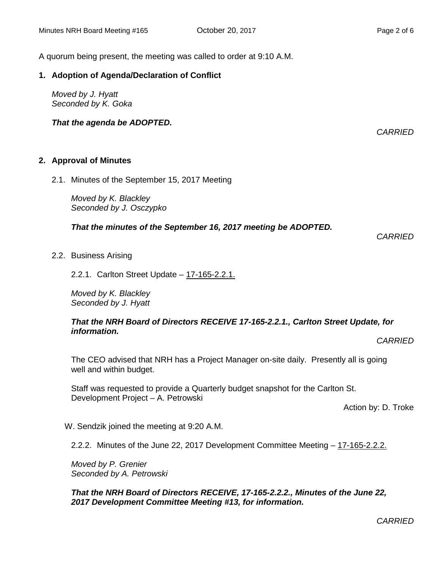*CARRIED*

A quorum being present, the meeting was called to order at 9:10 A.M.

#### **1. Adoption of Agenda/Declaration of Conflict**

*Moved by J. Hyatt Seconded by K. Goka*

*That the agenda be ADOPTED.*

**2. Approval of Minutes** 

2.1. Minutes of the September 15, 2017 Meeting

*Moved by K. Blackley Seconded by J. Osczypko*

*That the minutes of the September 16, 2017 meeting be ADOPTED.* 

*CARRIED*

2.2. Business Arising

2.2.1. Carlton Street Update – 17-165-2.2.1.

*Moved by K. Blackley Seconded by J. Hyatt*

#### *That the NRH Board of Directors RECEIVE 17-165-2.2.1., Carlton Street Update, for information.*

*CARRIED*

The CEO advised that NRH has a Project Manager on-site daily. Presently all is going well and within budget.

Staff was requested to provide a Quarterly budget snapshot for the Carlton St. Development Project – A. Petrowski

Action by: D. Troke

W. Sendzik joined the meeting at 9:20 A.M.

2.2.2. Minutes of the June 22, 2017 Development Committee Meeting - 17-165-2.2.2.

*Moved by P. Grenier Seconded by A. Petrowski*

*That the NRH Board of Directors RECEIVE, 17-165-2.2.2., Minutes of the June 22, 2017 Development Committee Meeting #13, for information.*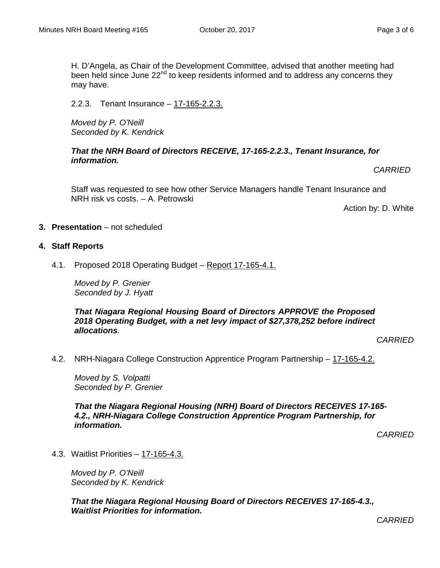H. D'Angela, as Chair of the Development Committee, advised that another meeting had been held since June 22<sup>nd</sup> to keep residents informed and to address any concerns they may have.

2.2.3. Tenant Insurance – 17-165-2.2.3.

*Moved by P. O'Neill Seconded by K. Kendrick*

*That the NRH Board of Directors RECEIVE, 17-165-2.2.3., Tenant Insurance, for information.*

*CARRIED*

Staff was requested to see how other Service Managers handle Tenant Insurance and NRH risk vs costs. – A. Petrowski

Action by: D. White

- **3. Presentation** not scheduled
- **4. Staff Reports**
	- 4.1. Proposed 2018 Operating Budget Report 17-165-4.1.

*Moved by P. Grenier Seconded by J. Hyatt*

*That Niagara Regional Housing Board of Directors APPROVE the Proposed 2018 Operating Budget, with a net levy impact of \$27,378,252 before indirect allocations*.

*CARRIED*

4.2. NRH-Niagara College Construction Apprentice Program Partnership – 17-165-4.2.

*Moved by S. Volpatti Seconded by P. Grenier*

*That the Niagara Regional Housing (NRH) Board of Directors RECEIVES 17-165- 4.2., NRH-Niagara College Construction Apprentice Program Partnership, for information.*

*CARRIED*

4.3. Waitlist Priorities – 17-165-4.3.

*Moved by P. O'Neill Seconded by K. Kendrick*

*That the Niagara Regional Housing Board of Directors RECEIVES 17-165-4.3., Waitlist Priorities for information.*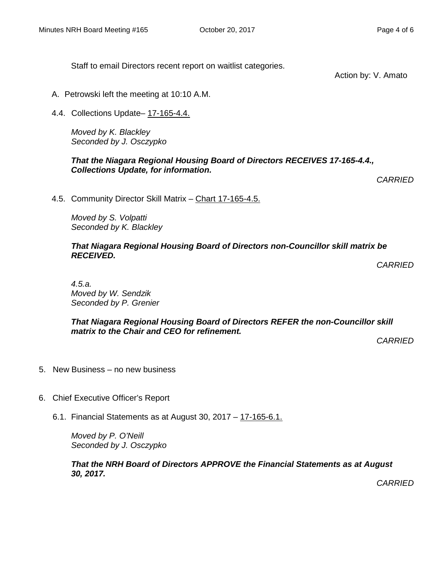Staff to email Directors recent report on waitlist categories.

Action by: V. Amato

- A. Petrowski left the meeting at 10:10 A.M.
- 4.4. Collections Update– 17-165-4.4.

*Moved by K. Blackley Seconded by J. Osczypko*

*That the Niagara Regional Housing Board of Directors RECEIVES 17-165-4.4., Collections Update, for information.*

*CARRIED*

4.5. Community Director Skill Matrix – Chart 17-165-4.5.

*Moved by S. Volpatti Seconded by K. Blackley*

#### *That Niagara Regional Housing Board of Directors non-Councillor skill matrix be RECEIVED.*

*CARRIED*

*4.5.a. Moved by W. Sendzik Seconded by P. Grenier*

*That Niagara Regional Housing Board of Directors REFER the non-Councillor skill matrix to the Chair and CEO for refinement.*

*CARRIED*

- 5. New Business no new business
- 6. Chief Executive Officer's Report
	- 6.1. Financial Statements as at August 30, 2017 17-165-6.1.

*Moved by P. O'Neill Seconded by J. Osczypko*

*That the NRH Board of Directors APPROVE the Financial Statements as at August 30, 2017.*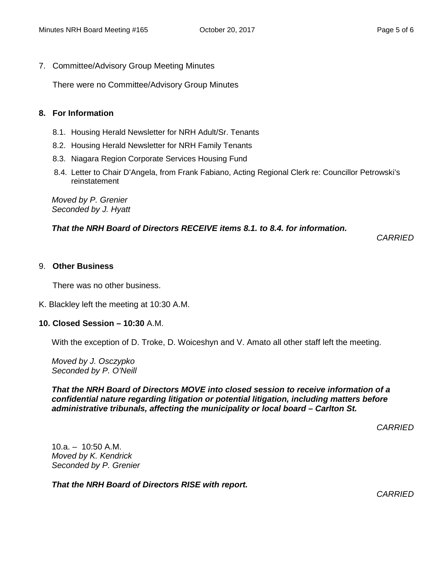7. Committee/Advisory Group Meeting Minutes

There were no Committee/Advisory Group Minutes

#### **8. For Information**

- 8.1. Housing Herald Newsletter for NRH Adult/Sr. Tenants
- 8.2. Housing Herald Newsletter for NRH Family Tenants
- 8.3. Niagara Region Corporate Services Housing Fund
- 8.4. Letter to Chair D'Angela, from Frank Fabiano, Acting Regional Clerk re: Councillor Petrowski's reinstatement

*Moved by P. Grenier Seconded by J. Hyatt*

#### *That the NRH Board of Directors RECEIVE items 8.1. to 8.4. for information.*

*CARRIED*

#### 9. **Other Business**

There was no other business.

K. Blackley left the meeting at 10:30 A.M.

#### **10. Closed Session – 10:30** A.M.

With the exception of D. Troke, D. Woiceshyn and V. Amato all other staff left the meeting.

*Moved by J. Osczypko Seconded by P. O'Neill*

*That the NRH Board of Directors MOVE into closed session to receive information of a confidential nature regarding litigation or potential litigation, including matters before administrative tribunals, affecting the municipality or local board – Carlton St.*

*CARRIED*

 $10.a. - 10:50 A.M.$ *Moved by K. Kendrick Seconded by P. Grenier*

*That the NRH Board of Directors RISE with report.*